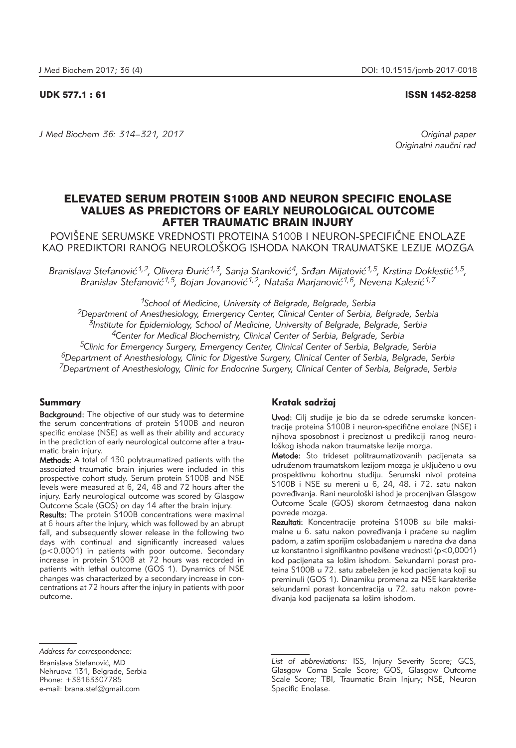### UDK 577.1 : 61 ISSN 1452-8258

*J Med Biochem 36: 314–321, 2017 Original paper*

*Originalni nau~ni rad*

# ELEVATED SERUM PROTEIN S100B AND NEURON SPECIFIC ENOLASE VALUES AS PREDICTORS OF EARLY NEUROLOGICAL OUTCOME AFTER TRAUMATIC BRAIN INJURY

POVIŠENE SERUMSKE VREDNOSTI PROTEINA S100B I NEURON-SPECIFIČNE ENOLAZE KAO PREDIKTORI RANOG NEUROLOŠKOG ISHODA NAKON TRAUMATSKE LEZIJE MOZGA

Branislava Stefanović<sup>1,2</sup>, Olivera Đurić<sup>1,3</sup>, Sanja Stanković<sup>4</sup>, Srđan Mijatović<sup>1,5</sup>, Krstina Doklestić<sup>1,5</sup>, Branislav Stefanović<sup>1,5</sup>, Bojan Jovanović<sup>1,2</sup>, Nataša Marjanović<sup>1,6</sup>, Nevena Kalezić<sup>1,7</sup>

*1School of Medicine, University of Belgrade, Belgrade, Serbia 2Department of Anesthesiology, Emergency Center, Clinical Center of Serbia, Belgrade, Serbia 3Institute for Epidemiology, School of Medicine, University of Belgrade, Belgrade, Serbia 4Center for Medical Biochemistry, Clinical Center of Serbia, Belgrade, Serbia 5Clinic for Emergency Surgery, Emergency Center, Clinical Center of Serbia, Belgrade, Serbia 6Department of Anesthesiology, Clinic for Digestive Surgery, Clinical Center of Serbia, Belgrade, Serbia 7Department of Anesthesiology, Clinic for Endocrine Surgery, Clinical Center of Serbia, Belgrade, Serbia*

# Summary

Background: The objective of our study was to determine the serum concentrations of protein S100B and neuron specific enolase (NSE) as well as their ability and accuracy in the prediction of early neurological outcome after a traumatic brain injury.

Methods: A total of 130 polytraumatized patients with the associated traumatic brain injuries were included in this prospective cohort study. Serum protein S100B and NSE levels were measured at 6, 24, 48 and 72 hours after the injury. Early neurological outcome was scored by Glasgow Outcome Scale (GOS) on day 14 after the brain injury.

Results: The protein S100B concentrations were maximal at 6 hours after the injury, which was followed by an abrupt fall, and subsequently slower release in the following two days with continual and significantly increased values (p<0.0001) in patients with poor outcome. Secondary increase in protein S100B at 72 hours was recorded in patients with lethal outcome (GOS 1). Dynamics of NSE changes was characterized by a secondary increase in concentrations at 72 hours after the injury in patients with poor outcome.

# Kratak sadržaj

Uvod: Cilj studije je bio da se odrede serumske koncentracije proteina S100B i neuron-specifične enolaze (NSE) i njihova sposobnost i preciznost u predikciji ranog neurološkog ishoda nakon traumatske lezije mozga.

Metode: Sto trideset politraumatizovanih pacijenata sa udruženom traumatskom lezijom mozga je uključeno u ovu prospektivnu kohortnu studiju. Serumski nivoi proteina S100B i NSE su mereni u 6, 24, 48. i 72. satu nakon povređivanja. Rani neurološki ishod je procenjivan Glasgow Outcome Scale (GOS) skorom četrnaestog dana nakon povrede mozga.

Rezultati: Koncentracije proteina S100B su bile maksimalne u 6. satu nakon povređivanja i praćene su naglim padom, a zatim sporijim oslobađanjem u naredna dva dana uz konstantno i signifikantno povišene vrednosti (p<0,0001) kod pacijenata sa lošim ishodom. Sekundarni porast proteina S100B u 72. satu zabeležen je kod pacijenata koji su preminuli (GOS 1). Dinamiku promena za NSE karakteriše sekundarni porast koncentracija u 72. satu nakon povređivanja kod pacijenata sa lošim ishodom.

*Address for correspondence:*

Branislava Stefanović, MD Nehruova 131, Belgrade, Serbia Phone: +38163307785 e-mail: brana.stef@gmail.com

*List of abbreviations:* ISS, Injury Severity Score; GCS, Glasgow Coma Scale Score; GOS, Glasgow Outcome Scale Score; TBI, Traumatic Brain Injury; NSE, Neuron Specific Enolase.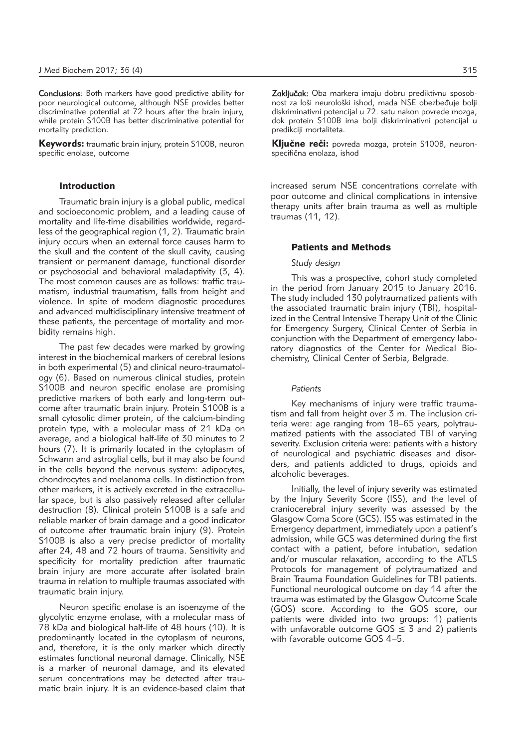Conclusions: Both markers have good predictive ability for poor neurological outcome, although NSE provides better discriminative potential at 72 hours after the brain injury, while protein S100B has better discriminative potential for mortality prediction.

Keywords: traumatic brain injury, protein S100B, neuron specific enolase, outcome

# Introduction

Traumatic brain injury is a global public, medical and socioeconomic problem, and a leading cause of mortality and life-time disabilities worldwide, regardless of the geographical region (1, 2). Traumatic brain injury occurs when an external force causes harm to the skull and the content of the skull cavity, causing transient or permanent damage, functional disorder or psychosocial and behavioral maladaptivity (3, 4). The most common causes are as follows: traffic traumatism, industrial traumatism, falls from height and violence. In spite of modern diagnostic procedures and advanced multidisciplinary intensive treatment of these patients, the percentage of mortality and morbidity remains high.

The past few decades were marked by growing interest in the biochemical markers of cerebral lesions in both experimental (5) and clinical neuro-traumatology (6). Based on numerous clinical studies, protein S100B and neuron specific enolase are promising predictive markers of both early and long-term outcome after traumatic brain injury. Protein S100B is a small cytosolic dimer protein, of the calcium-binding protein type, with a molecular mass of 21 kDa on average, and a biological half-life of 30 minutes to 2 hours (7). It is primarily located in the cytoplasm of Schwann and astroglial cells, but it may also be found in the cells beyond the nervous system: adipocytes, chondrocytes and melanoma cells. In distinction from other markers, it is actively excreted in the extracellular space, but is also passively released after cellular destruction (8). Clinical protein S100B is a safe and reliable marker of brain damage and a good indicator of outcome after traumatic brain injury (9). Protein S100B is also a very precise predictor of mortality after 24, 48 and 72 hours of trauma. Sensitivity and specificity for mortality prediction after traumatic brain injury are more accurate after isolated brain trauma in relation to multiple traumas associated with traumatic brain injury.

Neuron specific enolase is an isoenzyme of the glycolytic enzyme enolase, with a molecular mass of 78 kDa and biological half-life of 48 hours (10). It is predominantly located in the cytoplasm of neurons, and, therefore, it is the only marker which directly estimates functional neuronal damage. Clinically, NSE is a marker of neuronal damage, and its elevated serum concentrations may be detected after traumatic brain injury. It is an evidence-based claim that Zaključak: Oba markera imaju dobru prediktivnu sposobnost za loši neurološki ishod, mada NSE obezbeđuje bolji diskriminativni potencijal u 72. satu nakon povrede mozga, dok protein S100B ima bolji diskriminativni potencijal u predikciji mortaliteta.

Ključne reči: povreda mozga, protein S100B, neuronspecifična enolaza, ishod

increased serum NSE concentrations correlate with poor outcome and clinical complications in intensive therapy units after brain trauma as well as multiple traumas (11, 12).

# Patients and Methods

#### *Study design*

This was a prospective, cohort study completed in the period from January 2015 to January 2016. The study included 130 polytraumatized patients with the associated traumatic brain injury (TBI), hospitalized in the Central Intensive Therapy Unit of the Clinic for Emergency Surgery, Clinical Center of Serbia in conjunction with the Department of emergency laboratory diagnostics of the Center for Medical Biochemistry, Clinical Center of Serbia, Belgrade.

#### *Patients*

Key mechanisms of injury were traffic traumatism and fall from height over 3 m. The inclusion criteria were: age ranging from 18–65 years, polytraumatized patients with the associated TBI of varying severity. Exclusion criteria were: patients with a history of neurological and psychiatric diseases and disorders, and patients addicted to drugs, opioids and alcoholic beverages.

Initially, the level of injury severity was estimated by the Injury Severity Score (ISS), and the level of craniocerebral injury severity was assessed by the Glasgow Coma Score (GCS). ISS was estimated in the Emergency department, immediately upon a patient's admission, while GCS was determined during the first contact with a patient, before intubation, sedation and/or muscular relaxation, according to the ATLS Protocols for management of polytraumatized and Brain Trauma Foundation Guidelines for TBI patients. Functional neurological outcome on day 14 after the trauma was estimated by the Glasgow Outcome Scale (GOS) score. According to the GOS score, our patients were divided into two groups: 1) patients with unfavorable outcome  $GOS \leq 3$  and 2) patients with favorable outcome GOS 4–5.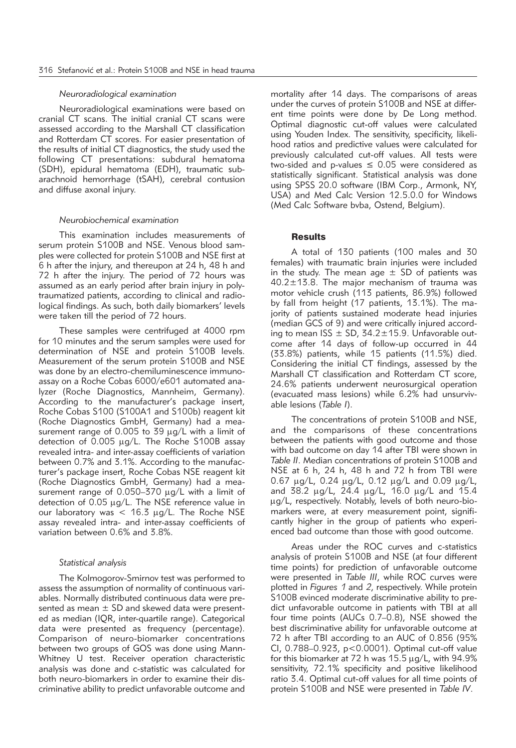## *Neuroradiological examination*

Neuroradiological examinations were based on cranial CT scans. The initial cranial CT scans were assessed according to the Marshall CT classification and Rotterdam CT scores. For easier presentation of the results of initial CT diagnostics, the study used the following CT presentations: subdural hematoma (SDH), epidural hematoma (EDH), traumatic subarachnoid hemorrhage (tSAH), cerebral contusion and diffuse axonal injury.

#### *Neurobiochemical examination*

This examination includes measurements of serum protein S100B and NSE. Venous blood samples were collected for protein S100B and NSE first at 6 h after the injury, and thereupon at 24 h, 48 h and 72 h after the injury. The period of 72 hours was assumed as an early period after brain injury in polytraumatized patients, according to clinical and radiological findings. As such, both daily biomarkers' levels were taken till the period of 72 hours.

These samples were centrifuged at 4000 rpm for 10 minutes and the serum samples were used for determination of NSE and protein S100B levels. Measurement of the serum protein S100B and NSE was done by an electro-chemiluminescence immunoassay on a Roche Cobas 6000/e601 automated analyzer (Roche Diagnostics, Mannheim, Germany). According to the manufacturer's package insert, Roche Cobas S100 (S100A1 and S100b) reagent kit (Roche Diagnostics GmbH, Germany) had a measurement range of 0.005 to 39  $\mu$ g/L with a limit of detection of  $0.005 \mu g/L$ . The Roche S100B assay revealed intra- and inter-assay coefficients of variation between 0.7% and 3.1%. According to the manufacturer's package insert, Roche Cobas NSE reagent kit (Roche Diagnostics GmbH, Germany) had a measurement range of  $0.050-370 \mu g/L$  with a limit of detection of  $0.05 \mu g/L$ . The NSE reference value in our laboratory was  $<$  16.3  $\mu$ g/L. The Roche NSE assay revealed intra- and inter-assay coefficients of variation between 0.6% and 3.8%.

#### *Statistical analysis*

The Kolmogorov-Smirnov test was performed to assess the assumption of normality of continuous variables. Normally distributed continuous data were presented as mean  $\pm$  SD and skewed data were presented as median (IQR, inter-quartile range). Categorical data were presented as frequency (percentage). Comparison of neuro-biomarker concentrations between two groups of GOS was done using Mann-Whitney U test. Receiver operation characteristic analysis was done and c-statistic was calculated for both neuro-biomarkers in order to examine their discriminative ability to predict unfavorable outcome and mortality after 14 days. The comparisons of areas under the curves of protein S100B and NSE at different time points were done by De Long method. Optimal diagnostic cut-off values were calculated using Youden Index. The sensitivity, specificity, likelihood ratios and predictive values were calculated for previously calculated cut-off values. All tests were two-sided and p-values  $\leq$  0.05 were considered as statistically significant. Statistical analysis was done using SPSS 20.0 software (IBM Corp., Armonk, NY, USA) and Med Calc Version 12.5.0.0 for Windows (Med Calc Software bvba, Ostend, Belgium).

# **Results**

A total of 130 patients (100 males and 30 females) with traumatic brain injuries were included in the study. The mean age  $\pm$  SD of patients was 40.2±13.8. The major mechanism of trauma was motor vehicle crush (113 patients, 86.9%) followed by fall from height (17 patients, 13.1%). The majority of patients sustained moderate head injuries (median GCS of 9) and were critically injured according to mean ISS  $\pm$  SD, 34.2 $\pm$ 15.9. Unfavorable outcome after 14 days of follow-up occurred in 44 (33.8%) patients, while 15 patients (11.5%) died. Considering the initial CT findings, assessed by the Marshall CT classification and Rotterdam CT score, 24.6% patients underwent neurosurgical operation (evacuated mass lesions) while 6.2% had unsurvivable lesions (*Table I*).

The concentrations of protein S100B and NSE, and the comparisons of these concentrations between the patients with good outcome and those with bad outcome on day 14 after TBI were shown in *Table II*. Median concentrations of protein S100B and NSE at 6 h, 24 h, 48 h and 72 h from TBI were 0.67 mg/L, 0.24 mg/L, 0.12 mg/L and 0.09 mg/L, and 38.2 mg/L, 24.4 mg/L, 16.0 mg/L and 15.4 ug/L, respectively. Notably, levels of both neuro-biomarkers were, at every measurement point, significantly higher in the group of patients who experienced bad outcome than those with good outcome.

Areas under the ROC curves and c-statistics analysis of protein S100B and NSE (at four different time points) for prediction of unfavorable outcome were presented in *Table III*, while ROC curves were plotted in *Figures 1* and *2*, respectively. While protein S100B evinced moderate discriminative ability to predict unfavorable outcome in patients with TBI at all four time points (AUCs 0.7–0.8), NSE showed the best discriminative ability for unfavorable outcome at 72 h after TBI according to an AUC of 0.856 (95% CI, 0.788–0.923, p<0.0001). Optimal cut-off value for this biomarker at 72 h was  $15.5 \,\mu g/L$ , with 94.9% sensitivity, 72.1% specificity and positive likelihood ratio 3.4. Optimal cut-off values for all time points of protein S100B and NSE were presented in *Table IV*.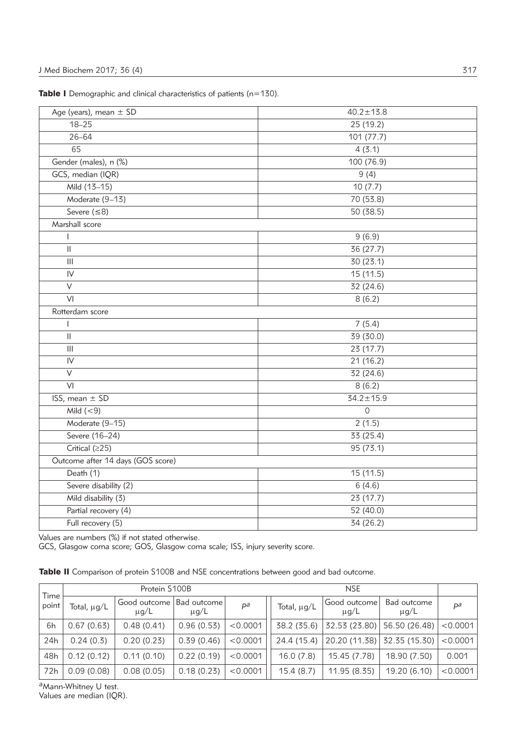|  |  |  |  |  | <b>Table I</b> Demographic and clinical characteristics of patients (n=130). |  |  |  |  |
|--|--|--|--|--|------------------------------------------------------------------------------|--|--|--|--|
|--|--|--|--|--|------------------------------------------------------------------------------|--|--|--|--|

| Age (years), mean ± SD                | $40.2 \pm 13.8$ |
|---------------------------------------|-----------------|
| $18 - 25$                             | 25 (19.2)       |
| $26 - 64$                             | 101 (77.7)      |
| 65                                    | 4(3.1)          |
| Gender (males), n (%)                 | 100 (76.9)      |
| GCS, median (IQR)                     | 9(4)            |
| Mild (13-15)                          | 10(7.7)         |
| Moderate (9-13)                       | 70 (53.8)       |
| Severe $( \leq 8)$                    | 50 (38.5)       |
| Marshall score                        |                 |
|                                       | 9(6.9)          |
| $\vert\vert$                          | 36 (27.7)       |
| $\mathbf{III}$                        | 30 (23.1)       |
| IV                                    | 15 (11.5)       |
| $\vee$                                | 32 (24.6)       |
| VI                                    | 8(6.2)          |
| Rotterdam score                       |                 |
| $\mathbf{I}$                          | 7(5.4)          |
| $\ensuremath{\mathsf{II}}$            | 39 (30.0)       |
| $\begin{array}{c} \hline \end{array}$ | 23 (17.7)       |
| $\mathsf{IV}$                         | 21 (16.2)       |
| V                                     | 32 (24.6)       |
| $\overline{VI}$                       | 8(6.2)          |
| ISS, mean ± SD                        | $34.2 \pm 15.9$ |
| Mild $(< 9)$                          | $\mathsf{O}$    |
| Moderate (9-15)                       | 2(1.5)          |
| Severe (16-24)                        | 33 (25.4)       |
| Critical (≥25)                        | 95 (73.1)       |
| Outcome after 14 days (GOS score)     |                 |
| Death (1)                             | 15 (11.5)       |
| Severe disability (2)                 | 6(4.6)          |
| Mild disability (3)                   | 23 (17.7)       |
| Partial recovery (4)                  | 52 (40.0)       |
| Full recovery (5)                     | 34 (26.2)       |
|                                       |                 |

Values are numbers (%) if not stated otherwise.

GCS, Glasgow coma score; GOS, Glasgow coma scale; ISS, injury severity score.

|  |  |  |  |  |  |  |  | Table II Comparison of protein S100B and NSE concentrations between good and bad outcome. |  |  |  |  |  |  |
|--|--|--|--|--|--|--|--|-------------------------------------------------------------------------------------------|--|--|--|--|--|--|
|--|--|--|--|--|--|--|--|-------------------------------------------------------------------------------------------|--|--|--|--|--|--|

|               |             | Protein S100B             |                            |          |             |                            |                          |          |
|---------------|-------------|---------------------------|----------------------------|----------|-------------|----------------------------|--------------------------|----------|
| Time<br>point | Total, µg/L | Good outcome<br>$\mu$ g/L | Bad outcome  <br>$\mu$ g/L | $P^a$    | Total, µg/L | Good outcome'<br>$\mu$ g/L | Bad outcome<br>$\mu$ g/L | рa       |
| 6h            | 0.67(0.63)  | 0.48(0.41)                | 0.96(0.53)                 | < 0.0001 | 38.2 (35.6) | 32.53 (23.80)              | 56.50 (26.48)            | < 0.0001 |
| 24h           | 0.24(0.3)   | 0.20(0.23)                | 0.39(0.46)                 | < 0.0001 | 24.4 (15.4) | 20.20 (11.38)              | 32.35 (15.30)            | < 0.0001 |
| 48h           | 0.12(0.12)  | 0.11(0.10)                | 0.22(0.19)                 | < 0.0001 | 16.0(7.8)   | 15.45 (7.78)               | 18.90 (7.50)             | 0.001    |
| 72h           | 0.09(0.08)  | 0.08(0.05)                | 0.18(0.23)                 | < 0.0001 | 15.4(8.7)   | 11.95 (8.35)               | 19.20 (6.10)             | < 0.0001 |

a<sub>Mann-Whitney U test.</sub>

Values are median (IQR).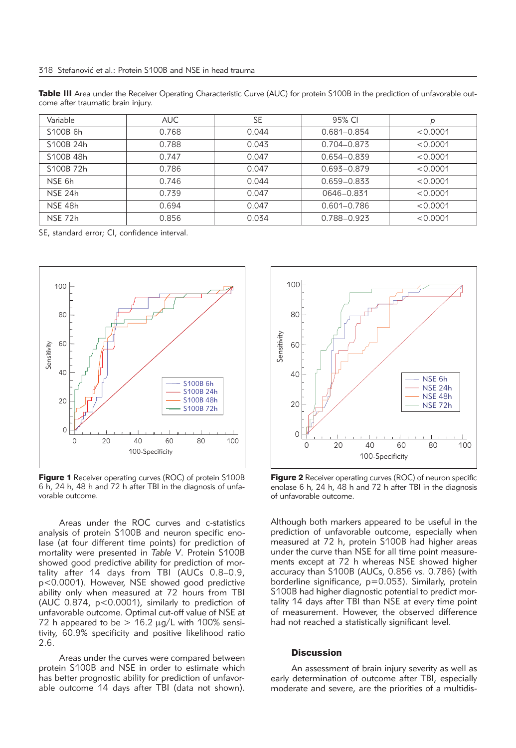Table III Area under the Receiver Operating Characteristic Curve (AUC) for protein S100B in the prediction of unfavorable outcome after traumatic brain injury.

| Variable              | <b>AUC</b> | <b>SE</b> | 95% CI      | р        |
|-----------------------|------------|-----------|-------------|----------|
| S <sub>100</sub> B 6h | 0.768      | 0.044     | 0.681-0.854 | < 0.0001 |
| S100B 24h             | 0.788      | 0.043     | 0.704-0.873 | < 0.0001 |
| S100B 48h             | 0.747      | 0.047     | 0.654-0.839 | < 0.0001 |
| S100B 72h             | 0.786      | 0.047     | 0.693-0.879 | < 0.0001 |
| NSE 6h                | 0.746      | 0.044     | 0.659-0.833 | < 0.0001 |
| NSE 24h               | 0.739      | 0.047     | 0646-0.831  | < 0.0001 |
| NSE 48h               | 0.694      | 0.047     | 0.601-0.786 | < 0.0001 |
| NSE 72h               | 0.856      | 0.034     | 0.788-0.923 | < 0.0001 |

SE, standard error; CI, confidence interval.



**Figure 1** Receiver operating curves (ROC) of protein S100B 6 h, 24 h, 48 h and 72 h after TBI in the diagnosis of unfavorable outcome.

Areas under the ROC curves and c-statistics analysis of protein S100B and neuron specific enolase (at four different time points) for prediction of mortality were presented in *Table V*. Protein S100B showed good predictive ability for prediction of mortality after 14 days from TBI (AUCs 0.8–0.9, p<0.0001). However, NSE showed good predictive ability only when measured at 72 hours from TBI (AUC 0.874, p<0.0001), similarly to prediction of unfavorable outcome. Optimal cut-off value of NSE at 72 h appeared to be  $> 16.2 \mu g/L$  with 100% sensitivity, 60.9% specificity and positive likelihood ratio 2.6.

Areas under the curves were compared between protein S100B and NSE in order to estimate which has better prognostic ability for prediction of unfavorable outcome 14 days after TBI (data not shown).



Figure 2 Receiver operating curves (ROC) of neuron specific enolase 6 h, 24 h, 48 h and 72 h after TBI in the diagnosis of unfavorable outcome.

Although both markers appeared to be useful in the prediction of unfavorable outcome, especially when measured at 72 h, protein S100B had higher areas under the curve than NSE for all time point measurements except at 72 h whereas NSE showed higher accuracy than S100B (AUCs, 0.856 *vs*. 0.786) (with borderline significance, p=0.053). Similarly, protein S100B had higher diagnostic potential to predict mortality 14 days after TBI than NSE at every time point of measurement. However, the observed difference had not reached a statistically significant level.

# **Discussion**

An assessment of brain injury severity as well as early determination of outcome after TBI, especially moderate and severe, are the priorities of a multidis-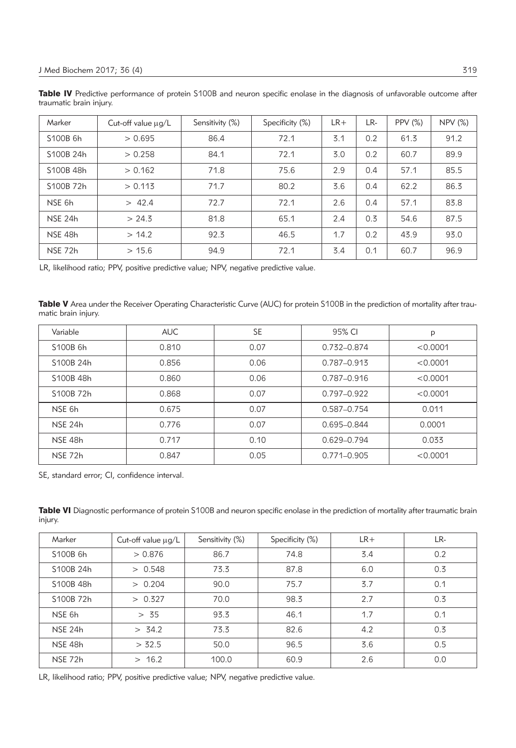Table IV Predictive performance of protein S100B and neuron specific enolase in the diagnosis of unfavorable outcome after traumatic brain injury.

| Marker         | Cut-off value $\mu$ g/L | Sensitivity (%) | Specificity (%) | $LR+$ | LR- | <b>PPV (%)</b> | NPV (%) |
|----------------|-------------------------|-----------------|-----------------|-------|-----|----------------|---------|
| S100B 6h       | > 0.695                 | 86.4            | 72.1            | 3.1   | 0.2 | 61.3           | 91.2    |
| S100B 24h      | > 0.258                 | 84.1            | 72.1            | 3.0   | 0.2 | 60.7           | 89.9    |
| S100B 48h      | > 0.162                 | 71.8            | 75.6            | 2.9   | 0.4 | 57.1           | 85.5    |
| S100B 72h      | > 0.113                 | 71.7            | 80.2            | 3.6   | 0.4 | 62.2           | 86.3    |
| NSE 6h         | > 42.4                  | 72.7            | 72.1            | 2.6   | 0.4 | 57.1           | 83.8    |
| <b>NSE 24h</b> | > 24.3                  | 81.8            | 65.1            | 2.4   | 0.3 | 54.6           | 87.5    |
| NSE 48h        | > 14.2                  | 92.3            | 46.5            | 1.7   | 0.2 | 43.9           | 93.0    |
| NSE 72h        | > 15.6                  | 94.9            | 72.1            | 3.4   | 0.1 | 60.7           | 96.9    |

LR, likelihood ratio; PPV, positive predictive value; NPV, negative predictive value.

Table V Area under the Receiver Operating Characteristic Curve (AUC) for protein S100B in the prediction of mortality after traumatic brain injury.

| Variable  | <b>AUC</b> | <b>SE</b> | 95% CI          | p        |
|-----------|------------|-----------|-----------------|----------|
| S100B 6h  | 0.810      | 0.07      | 0.732-0.874     | < 0.0001 |
| S100B 24h | 0.856      | 0.06      | 0.787-0.913     | < 0.0001 |
| S100B 48h | 0.860      | 0.06      | 0.787-0.916     | < 0.0001 |
| S100B 72h | 0.868      | 0.07      | $0.797 - 0.922$ | < 0.0001 |
| NSE 6h    | 0.675      | 0.07      | 0.587-0.754     | 0.011    |
| NSE 24h   | 0.776      | 0.07      | 0.695-0.844     | 0.0001   |
| NSE 48h   | 0.717      | 0.10      | 0.629-0.794     | 0.033    |
| NSE 72h   | 0.847      | 0.05      | $0.771 - 0.905$ | < 0.0001 |

SE, standard error; CI, confidence interval.

Table VI Diagnostic performance of protein S100B and neuron specific enolase in the prediction of mortality after traumatic brain injury.

| Marker                 | Cut-off value $\mu$ g/L | Sensitivity (%) | Specificity (%) | $LR+$ | LR- |
|------------------------|-------------------------|-----------------|-----------------|-------|-----|
| S100B 6h               | > 0.876                 | 86.7            | 74.8            | 3.4   | 0.2 |
| S100B 24h              | > 0.548                 | 73.3            | 87.8            | 6.0   | 0.3 |
| S100B 48h              | > 0.204                 | 90.0            | 75.7            | 3.7   | 0.1 |
| S <sub>100</sub> B 72h | > 0.327                 | 70.0            | 98.3            | 2.7   | 0.3 |
| NSE 6h                 | > 35                    | 93.3            | 46.1            | 1.7   | 0.1 |
| NSE 24h                | > 34.2                  | 73.3            | 82.6            | 4.2   | 0.3 |
| NSE 48h                | > 32.5                  | 50.0            | 96.5            | 3.6   | 0.5 |
| NSE 72h                | > 16.2                  | 100.0           | 60.9            | 2.6   | 0.0 |

LR, likelihood ratio; PPV, positive predictive value; NPV, negative predictive value.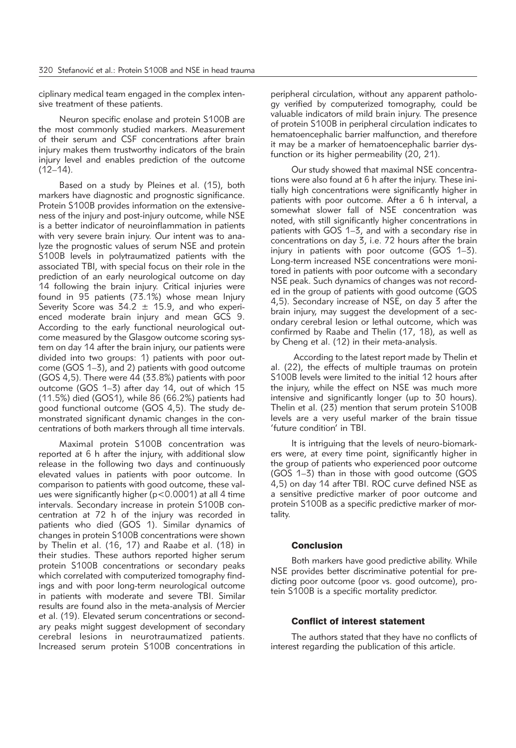ciplinary medical team engaged in the complex intensive treatment of these patients.

Neuron specific enolase and protein S100B are the most commonly studied markers. Measurement of their serum and CSF concentrations after brain injury makes them trustworthy indicators of the brain injury level and enables prediction of the outcome  $(12-14)$ .

Based on a study by Pleines et al. (15), both markers have diagnostic and prognostic significance. Protein S100B provides information on the extensiveness of the injury and post-injury outcome, while NSE is a better indicator of neuroinflammation in patients with very severe brain injury. Our intent was to analyze the prognostic values of serum NSE and protein S100B levels in polytraumatized patients with the associated TBI, with special focus on their role in the prediction of an early neurological outcome on day 14 following the brain injury. Critical injuries were found in 95 patients (73.1%) whose mean Injury Severity Score was  $34.2 \pm 15.9$ , and who experienced moderate brain injury and mean GCS 9. According to the early functional neurological outcome measured by the Glasgow outcome scoring system on day 14 after the brain injury, our patients were divided into two groups: 1) patients with poor outcome (GOS 1–3), and 2) patients with good outcome (GOS 4,5). There were 44 (33.8%) patients with poor outcome (GOS 1–3) after day 14, out of which 15 (11.5%) died (GOS1), while 86 (66.2%) patients had good functional outcome (GOS 4,5). The study demonstrated significant dynamic changes in the concentrations of both markers through all time intervals.

Maximal protein S100B concentration was reported at 6 h after the injury, with additional slow release in the following two days and continuously elevated values in patients with poor outcome. In comparison to patients with good outcome, these values were significantly higher (p<0.0001) at all 4 time intervals. Secondary increase in protein S100B concentration at 72 h of the injury was recorded in patients who died (GOS 1). Similar dynamics of changes in protein S100B concentrations were shown by Thelin et al. (16, 17) and Raabe et al. (18) in their studies. These authors reported higher serum protein S100B concentrations or secondary peaks which correlated with computerized tomography findings and with poor long-term neurological outcome in patients with moderate and severe TBI. Similar results are found also in the meta-analysis of Mercier et al. (19). Elevated serum concentrations or secondary peaks might suggest development of secondary cerebral lesions in neurotraumatized patients. Increased serum protein S100B concentrations in peripheral circulation, without any apparent pathology verified by computerized tomography, could be valuable indicators of mild brain injury. The presence of protein S100B in peripheral circulation indicates to hematoencephalic barrier malfunction, and therefore it may be a marker of hematoencephalic barrier dysfunction or its higher permeability (20, 21).

Our study showed that maximal NSE concentrations were also found at 6 h after the injury. These initially high concentrations were significantly higher in patients with poor outcome. After a 6 h interval, a somewhat slower fall of NSE concentration was noted, with still significantly higher concentrations in patients with GOS 1–3, and with a secondary rise in concentrations on day 3, i.e. 72 hours after the brain injury in patients with poor outcome (GOS 1–3). Long-term increased NSE concentrations were monitored in patients with poor outcome with a secondary NSE peak. Such dynamics of changes was not recorded in the group of patients with good outcome (GOS 4,5). Secondary increase of NSE, on day 3 after the brain injury, may suggest the development of a secondary cerebral lesion or lethal outcome, which was confirmed by Raabe and Thelin (17, 18), as well as by Cheng et al. (12) in their meta-analysis.

According to the latest report made by Thelin et al. (22), the effects of multiple traumas on protein S100B levels were limited to the initial 12 hours after the injury, while the effect on NSE was much more intensive and significantly longer (up to 30 hours). Thelin et al. (23) mention that serum protein S100B levels are a very useful marker of the brain tissue 'future condition' in TBI.

It is intriguing that the levels of neuro-biomarkers were, at every time point, significantly higher in the group of patients who experienced poor outcome (GOS 1–3) than in those with good outcome (GOS 4,5) on day 14 after TBI. ROC curve defined NSE as a sensitive predictive marker of poor outcome and protein S100B as a specific predictive marker of mortality.

# Conclusion

Both markers have good predictive ability. While NSE provides better discriminative potential for predicting poor outcome (poor vs. good outcome), protein S100B is a specific mortality predictor.

# Conflict of interest statement

The authors stated that they have no conflicts of interest regarding the publication of this article.